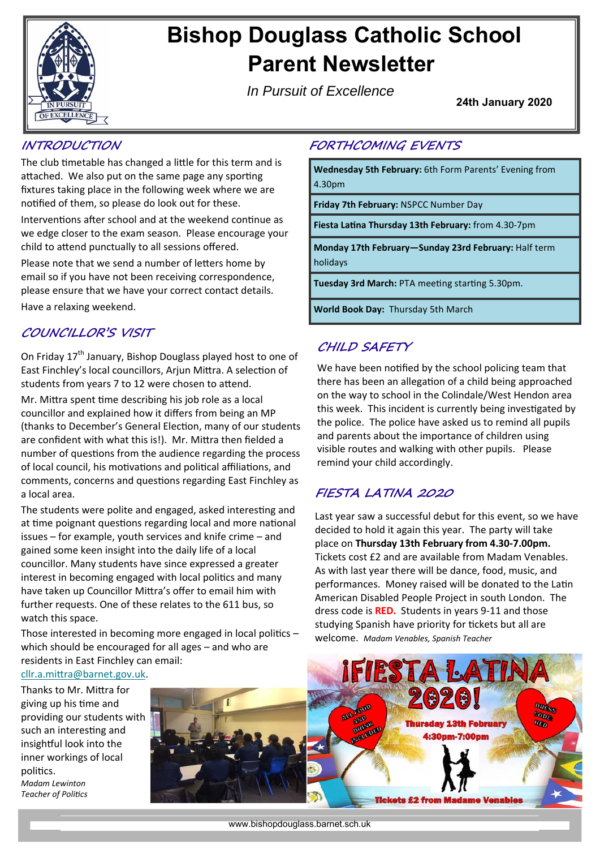

# **Bishop Douglass Catholic School Parent Newsletter**

**FORTHCOMING EVENTS** 

**Friday 7th February:** NSPCC Number Day

**World Book Day:** Thursday 5th March

**CHILD SAFETY** 

**FIESTA LATINA 2020** 

remind your child accordingly.

welcome. *Madam Venables, Spanish Teacher* 

**Wednesday 5th February:** 6th Form Parents' Evening from

**Monday 17th February—Sunday 23rd February:** Half term

We have been notified by the school policing team that there has been an allegation of a child being approached on the way to school in the Colindale/West Hendon area this week. This incident is currently being investigated by the police. The police have asked us to remind all pupils and parents about the importance of children using visible routes and walking with other pupils. Please

Last year saw a successful debut for this event, so we have decided to hold it again this year. The party will take place on **Thursday 13th February from 4.30‐7.00pm.**  Tickets cost £2 and are available from Madam Venables. As with last year there will be dance, food, music, and performances. Money raised will be donated to the Latin American Disabled People Project in south London. The dress code is **RED.** Students in years 9‐11 and those studying Spanish have priority for tickets but all are

**Fiesta LaƟna Thursday 13th February:** from 4.30‐7pm

**Tuesday 3rd March: PTA meeting starting 5.30pm.** 

*In Pursuit of Excellence*

4.30pm

holidays

**24th January 2020** 

## **INTRODUCTION**

The club timetable has changed a little for this term and is attached. We also put on the same page any sporting fixtures taking place in the following week where we are notified of them, so please do look out for these.

Interventions after school and at the weekend continue as we edge closer to the exam season. Please encourage your child to attend punctually to all sessions offered.

Please note that we send a number of letters home by email so if you have not been receiving correspondence, please ensure that we have your correct contact details. Have a relaxing weekend.

# **COUNCILLOR'S VISIT**

On Fridav 17<sup>th</sup> January, Bishop Douglass played host to one of East Finchley's local councillors, Arjun Mittra. A selection of students from years 7 to 12 were chosen to attend. Mr. Mittra spent time describing his job role as a local councillor and explained how it differs from being an MP (thanks to December's General Election, many of our students are confident with what this is!). Mr. Mittra then fielded a number of questions from the audience regarding the process of local council, his motivations and political affiliations, and comments, concerns and questions regarding East Finchley as a local area.

The students were polite and engaged, asked interesting and at time poignant questions regarding local and more national issues – for example, youth services and knife crime – and gained some keen insight into the daily life of a local councillor. Many students have since expressed a greater interest in becoming engaged with local politics and many have taken up Councillor Mittra's offer to email him with further requests. One of these relates to the 611 bus, so watch this space.

Those interested in becoming more engaged in local politics  $$ which should be encouraged for all ages – and who are residents in East Finchley can email:

cllr.a.mittra@barnet.gov.uk.

Thanks to Mr. Mittra for giving up his time and providing our students with such an interesting and insightful look into the inner workings of local politics. *Madam Lewinton* 

*Teacher of PoliƟcs* 

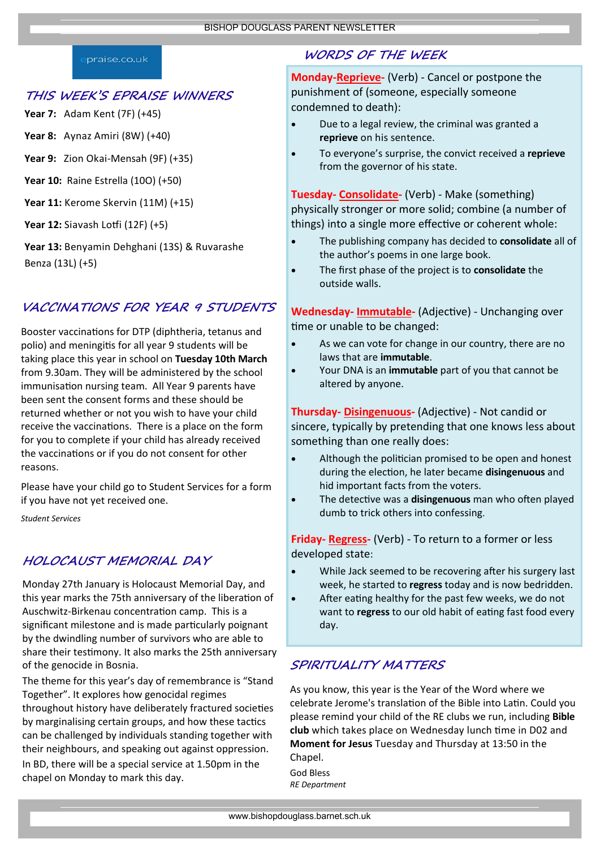#### praise.co.uk

#### **THIS WEEK'S EPRAISE WINNERS**

**Year 7:** Adam Kent (7F) (+45)

**Year 8:** Aynaz Amiri (8W) (+40)

**Year 9:** Zion Okai‐Mensah (9F) (+35)

**Year 10:** Raine Estrella (10O) (+50)

**Year 11:** Kerome Skervin (11M) (+15)

**Year 12:** Siavash Loƞi (12F) (+5)

**Year 13:** Benyamin Dehghani (13S) & Ruvarashe Benza (13L) (+5)

## **VACCINATIONS FOR YEAR 9 STUDENTS**

Booster vaccinations for DTP (diphtheria, tetanus and polio) and meningitis for all year 9 students will be taking place this year in school on **Tuesday 10th March**  from 9.30am. They will be administered by the school immunisation nursing team. All Year 9 parents have been sent the consent forms and these should be returned whether or not you wish to have your child receive the vaccinations. There is a place on the form for you to complete if your child has already received the vaccinations or if you do not consent for other reasons.

Please have your child go to Student Services for a form if you have not yet received one.

*Student Services* 

### **HOLOCAUST MEMORIAL DAY**

Monday 27th January is Holocaust Memorial Day, and this year marks the 75th anniversary of the liberation of Auschwitz-Birkenau concentration camp. This is a significant milestone and is made particularly poignant by the dwindling number of survivors who are able to share their testimony. It also marks the 25th anniversary of the genocide in Bosnia.

The theme for this year's day of remembrance is "Stand Together". It explores how genocidal regimes throughout history have deliberately fractured societies

by marginalising certain groups, and how these tactics can be challenged by individuals standing together with their neighbours, and speaking out against oppression.

In BD, there will be a special service at 1.50pm in the chapel on Monday to mark this day.

## **WORDS OF THE WEEK**

**Monday‐Reprieve‐** (Verb) ‐ Cancel or postpone the punishment of (someone, especially someone condemned to death):

- Due to a legal review, the criminal was granted a **reprieve** on his sentence.
- To everyone's surprise, the convict received a **reprieve** from the governor of his state.

**Tuesday‐ Consolidate‐** (Verb) ‐ Make (something) physically stronger or more solid; combine (a number of things) into a single more effective or coherent whole:

- The publishing company has decided to **consolidate** all of the author's poems in one large book.
- The first phase of the project is to **consolidate** the outside walls.

Wednesday- Immutable- (Adjective) - Unchanging over time or unable to be changed:

- As we can vote for change in our country, there are no laws that are **immutable**.
- Your DNA is an **immutable** part of you that cannot be altered by anyone.

Thursday- Disingenuous- (Adjective) - Not candid or sincere, typically by pretending that one knows less about something than one really does:

- Although the politician promised to be open and honest during the elecƟon, he later became **disingenuous** and hid important facts from the voters.
- **The detective was a disingenuous** man who often played dumb to trick others into confessing.

**Friday‐ Regress‐** (Verb) ‐ To return to a former or less developed state:

- While Jack seemed to be recovering after his surgery last week, he started to **regress** today and is now bedridden.
- After eating healthy for the past few weeks, we do not want to **regress** to our old habit of eating fast food every day.

## **SPIRITUALITY MATTERS**

As you know, this year is the Year of the Word where we celebrate Jerome's translation of the Bible into Latin. Could you please remind your child of the RE clubs we run, including **Bible club** which takes place on Wednesday lunch Ɵme in D02 and **Moment for Jesus** Tuesday and Thursday at 13:50 in the Chapel.

God Bless *RE Department*